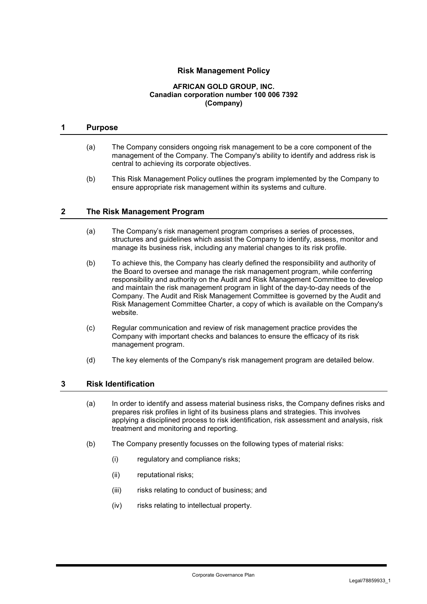# **Risk Management Policy**

#### **AFRICAN GOLD GROUP, INC. Canadian corporation number 100 006 7392 (Company)**

#### **1 Purpose**

- (a) The Company considers ongoing risk management to be a core component of the management of the Company. The Company's ability to identify and address risk is central to achieving its corporate objectives.
- (b) This Risk Management Policy outlines the program implemented by the Company to ensure appropriate risk management within its systems and culture.

### **2 The Risk Management Program**

- (a) The Company's risk management program comprises a series of processes, structures and guidelines which assist the Company to identify, assess, monitor and manage its business risk, including any material changes to its risk profile.
- (b) To achieve this, the Company has clearly defined the responsibility and authority of the Board to oversee and manage the risk management program, while conferring responsibility and authority on the Audit and Risk Management Committee to develop and maintain the risk management program in light of the day-to-day needs of the Company. The Audit and Risk Management Committee is governed by the Audit and Risk Management Committee Charter, a copy of which is available on the Company's website.
- (c) Regular communication and review of risk management practice provides the Company with important checks and balances to ensure the efficacy of its risk management program.
- (d) The key elements of the Company's risk management program are detailed below.

### **3 Risk Identification**

- (a) In order to identify and assess material business risks, the Company defines risks and prepares risk profiles in light of its business plans and strategies. This involves applying a disciplined process to risk identification, risk assessment and analysis, risk treatment and monitoring and reporting.
- (b) The Company presently focusses on the following types of material risks:
	- (i) regulatory and compliance risks;
	- (ii) reputational risks;
	- (iii) risks relating to conduct of business; and
	- (iv) risks relating to intellectual property.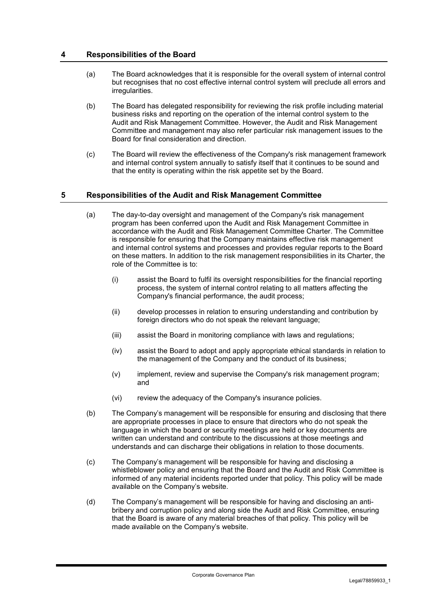### **4 Responsibilities of the Board**

- (a) The Board acknowledges that it is responsible for the overall system of internal control but recognises that no cost effective internal control system will preclude all errors and irregularities.
- (b) The Board has delegated responsibility for reviewing the risk profile including material business risks and reporting on the operation of the internal control system to the Audit and Risk Management Committee. However, the Audit and Risk Management Committee and management may also refer particular risk management issues to the Board for final consideration and direction.
- (c) The Board will review the effectiveness of the Company's risk management framework and internal control system annually to satisfy itself that it continues to be sound and that the entity is operating within the risk appetite set by the Board.

# **5 Responsibilities of the Audit and Risk Management Committee**

- (a) The day-to-day oversight and management of the Company's risk management program has been conferred upon the Audit and Risk Management Committee in accordance with the Audit and Risk Management Committee Charter. The Committee is responsible for ensuring that the Company maintains effective risk management and internal control systems and processes and provides regular reports to the Board on these matters. In addition to the risk management responsibilities in its Charter, the role of the Committee is to:
	- (i) assist the Board to fulfil its oversight responsibilities for the financial reporting process, the system of internal control relating to all matters affecting the Company's financial performance, the audit process;
	- (ii) develop processes in relation to ensuring understanding and contribution by foreign directors who do not speak the relevant language:
	- (iii) assist the Board in monitoring compliance with laws and regulations;
	- (iv) assist the Board to adopt and apply appropriate ethical standards in relation to the management of the Company and the conduct of its business;
	- (v) implement, review and supervise the Company's risk management program; and
	- (vi) review the adequacy of the Company's insurance policies.
- (b) The Company's management will be responsible for ensuring and disclosing that there are appropriate processes in place to ensure that directors who do not speak the language in which the board or security meetings are held or key documents are written can understand and contribute to the discussions at those meetings and understands and can discharge their obligations in relation to those documents.
- (c) The Company's management will be responsible for having and disclosing a whistleblower policy and ensuring that the Board and the Audit and Risk Committee is informed of any material incidents reported under that policy. This policy will be made available on the Company's website.
- (d) The Company's management will be responsible for having and disclosing an antibribery and corruption policy and along side the Audit and Risk Committee, ensuring that the Board is aware of any material breaches of that policy. This policy will be made available on the Company's website.